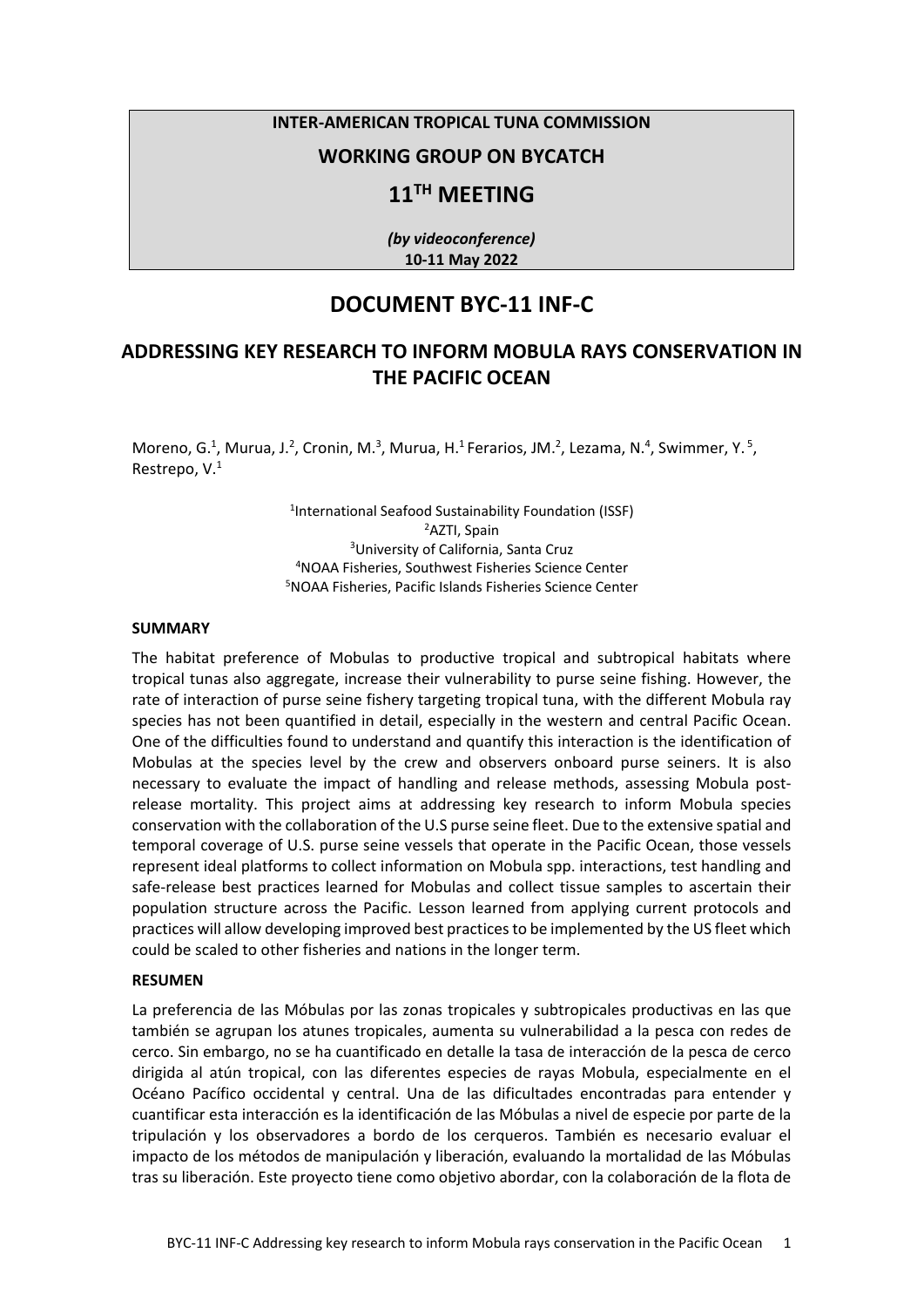## **INTER-AMERICAN TROPICAL TUNA COMMISSION**

## **WORKING GROUP ON BYCATCH**

# **11TH MEETING**

*(by videoconference)* **10-11 May 2022**

## **DOCUMENT BYC-11 INF-C**

# **ADDRESSING KEY RESEARCH TO INFORM MOBULA RAYS CONSERVATION IN THE PACIFIC OCEAN**

Moreno, G.<sup>1</sup>, Murua, J.<sup>2</sup>, Cronin, M.<sup>3</sup>, Murua, H.<sup>1</sup> Ferarios, JM.<sup>2</sup>, Lezama, N.<sup>4</sup>, Swimmer, Y.<sup>5</sup>, Restrepo, V.1

> International Seafood Sustainability Foundation (ISSF) AZTI, Spain University of California, Santa Cruz NOAA Fisheries, Southwest Fisheries Science Center NOAA Fisheries, Pacific Islands Fisheries Science Center

#### **SUMMARY**

The habitat preference of Mobulas to productive tropical and subtropical habitats where tropical tunas also aggregate, increase their vulnerability to purse seine fishing. However, the rate of interaction of purse seine fishery targeting tropical tuna, with the different Mobula ray species has not been quantified in detail, especially in the western and central Pacific Ocean. One of the difficulties found to understand and quantify this interaction is the identification of Mobulas at the species level by the crew and observers onboard purse seiners. It is also necessary to evaluate the impact of handling and release methods, assessing Mobula postrelease mortality. This project aims at addressing key research to inform Mobula species conservation with the collaboration of the U.S purse seine fleet. Due to the extensive spatial and temporal coverage of U.S. purse seine vessels that operate in the Pacific Ocean, those vessels represent ideal platforms to collect information on Mobula spp. interactions, test handling and safe-release best practices learned for Mobulas and collect tissue samples to ascertain their population structure across the Pacific. Lesson learned from applying current protocols and practices will allow developing improved best practices to be implemented by the US fleet which could be scaled to other fisheries and nations in the longer term.

#### **RESUMEN**

La preferencia de las Móbulas por las zonas tropicales y subtropicales productivas en las que también se agrupan los atunes tropicales, aumenta su vulnerabilidad a la pesca con redes de cerco. Sin embargo, no se ha cuantificado en detalle la tasa de interacción de la pesca de cerco dirigida al atún tropical, con las diferentes especies de rayas Mobula, especialmente en el Océano Pacífico occidental y central. Una de las dificultades encontradas para entender y cuantificar esta interacción es la identificación de las Móbulas a nivel de especie por parte de la tripulación y los observadores a bordo de los cerqueros. También es necesario evaluar el impacto de los métodos de manipulación y liberación, evaluando la mortalidad de las Móbulas tras su liberación. Este proyecto tiene como objetivo abordar, con la colaboración de la flota de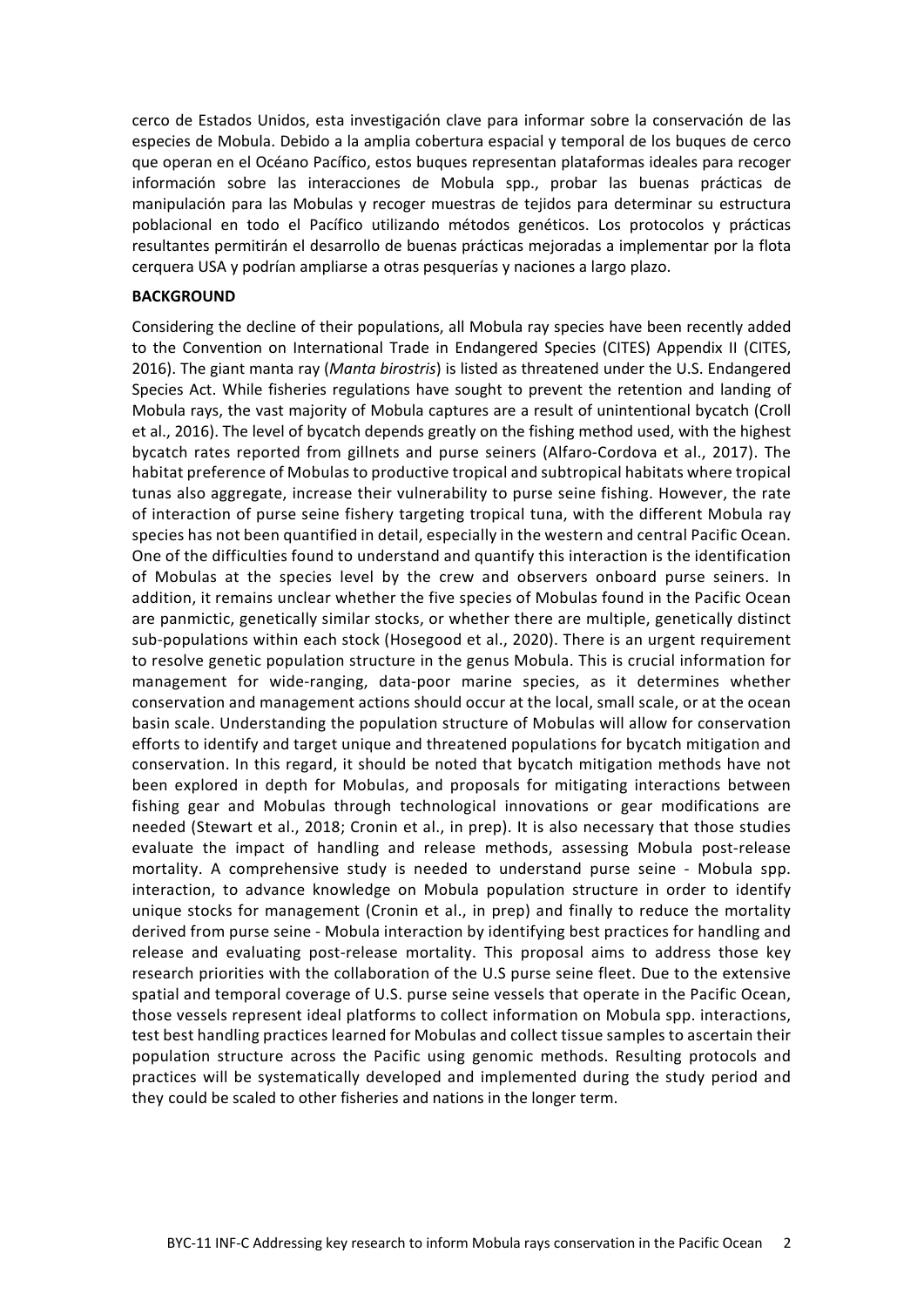cerco de Estados Unidos, esta investigación clave para informar sobre la conservación de las especies de Mobula. Debido a la amplia cobertura espacial y temporal de los buques de cerco que operan en el Océano Pacífico, estos buques representan plataformas ideales para recoger información sobre las interacciones de Mobula spp., probar las buenas prácticas de manipulación para las Mobulas y recoger muestras de tejidos para determinar su estructura poblacional en todo el Pacífico utilizando métodos genéticos. Los protocolos y prácticas resultantes permitirán el desarrollo de buenas prácticas mejoradas a implementar por la flota cerquera USA y podrían ampliarse a otras pesquerías y naciones a largo plazo.

#### **BACKGROUND**

Considering the decline of their populations, all Mobula ray species have been recently added to the Convention on International Trade in Endangered Species (CITES) Appendix II (CITES, 2016). The giant manta ray (*Manta birostris*) is listed as threatened under the U.S. Endangered Species Act. While fisheries regulations have sought to prevent the retention and landing of Mobula rays, the vast majority of Mobula captures are a result of unintentional bycatch [\(Croll](#page-3-0)  [et al., 2016\)](#page-3-0). The level of bycatch depends greatly on the fishing method used, with the highest bycatch rates reported from gillnets and purse seiners [\(Alfaro-Cordova et al., 2017\)](#page-3-1). The habitat preference of Mobulas to productive tropical and subtropical habitats where tropical tunas also aggregate, increase their vulnerability to purse seine fishing. However, the rate of interaction of purse seine fishery targeting tropical tuna, with the different Mobula ray species has not been quantified in detail, especially in the western and central Pacific Ocean. One of the difficulties found to understand and quantify this interaction is the identification of Mobulas at the species level by the crew and observers onboard purse seiners. In addition, it remains unclear whether the five species of Mobulas found in the Pacific Ocean are panmictic, genetically similar stocks, or whether there are multiple, genetically distinct sub-populations within each stock [\(Hosegood et al., 2020\)](#page-3-2). There is an urgent requirement to resolve genetic population structure in the genus Mobula. This is crucial information for management for wide-ranging, data-poor marine species, as it determines whether conservation and management actions should occur at the local, small scale, or at the ocean basin scale. Understanding the population structure of Mobulas will allow for conservation efforts to identify and target unique and threatened populations for bycatch mitigation and conservation. In this regard, it should be noted that bycatch mitigation methods have not been explored in depth for Mobulas, and proposals for mitigating interactions between fishing gear and Mobulas through technological innovations or gear modifications are needed [\(Stewart et al., 2018;](#page-4-0) Cronin et al., in prep). It is also necessary that those studies evaluate the impact of handling and release methods, assessing Mobula post-release mortality. A comprehensive study is needed to understand purse seine - Mobula spp. interaction, to advance knowledge on Mobula population structure in order to identify unique stocks for management (Cronin et al., in prep) and finally to reduce the mortality derived from purse seine - Mobula interaction by identifying best practices for handling and release and evaluating post-release mortality. This proposal aims to address those key research priorities with the collaboration of the U.S purse seine fleet. Due to the extensive spatial and temporal coverage of U.S. purse seine vessels that operate in the Pacific Ocean, those vessels represent ideal platforms to collect information on Mobula spp. interactions, test best handling practices learned for Mobulas and collect tissue samples to ascertain their population structure across the Pacific using genomic methods. Resulting protocols and practices will be systematically developed and implemented during the study period and they could be scaled to other fisheries and nations in the longer term.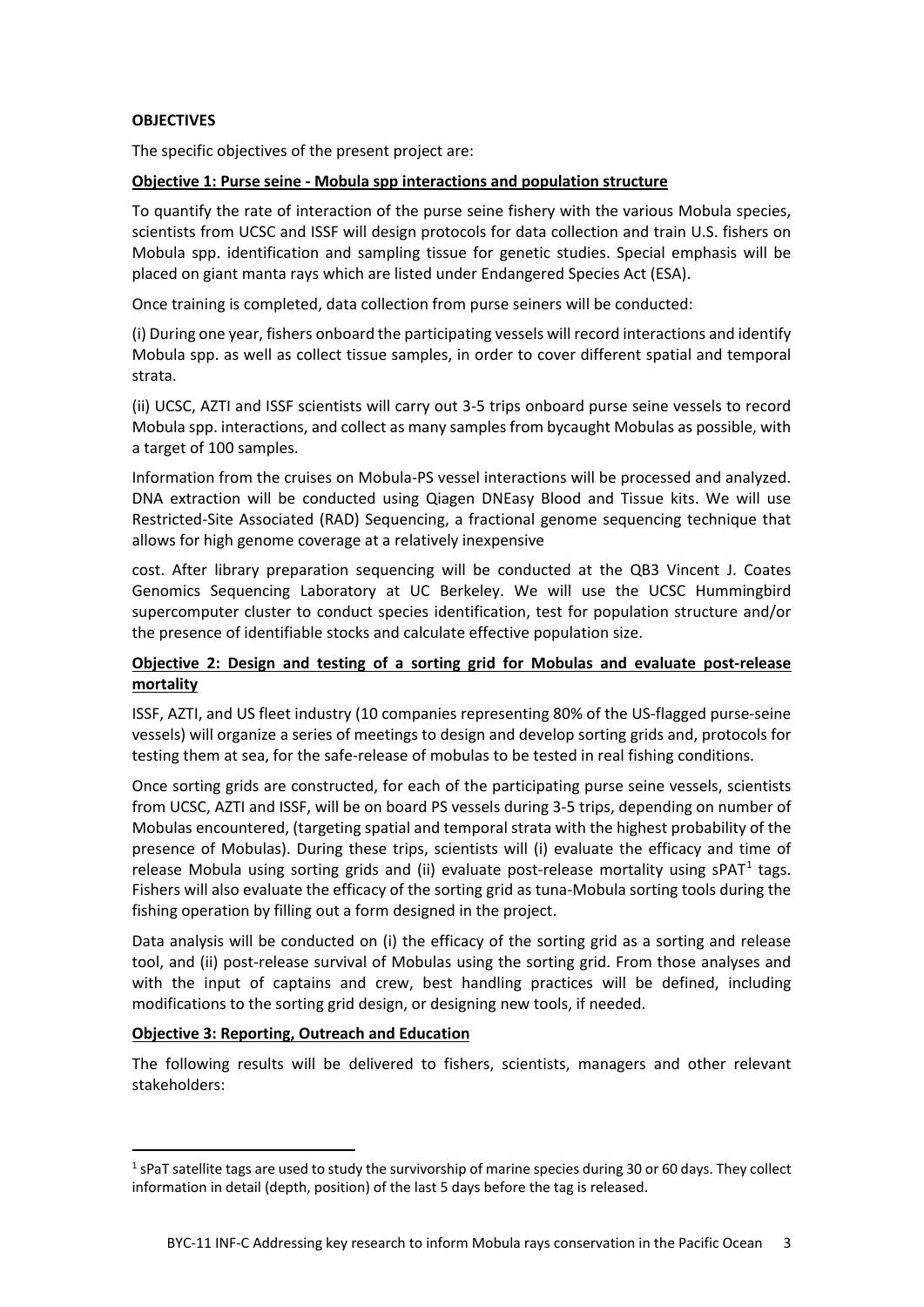## **OBJECTIVES**

The specific objectives of the present project are:

## **Objective 1: Purse seine - Mobula spp interactions and population structure**

To quantify the rate of interaction of the purse seine fishery with the various Mobula species, scientists from UCSC and ISSF will design protocols for data collection and train U.S. fishers on Mobula spp. identification and sampling tissue for genetic studies. Special emphasis will be placed on giant manta rays which are listed under Endangered Species Act (ESA).

Once training is completed, data collection from purse seiners will be conducted:

(i) During one year, fishers onboard the participating vessels will record interactions and identify Mobula spp. as well as collect tissue samples, in order to cover different spatial and temporal strata.

(ii) UCSC, AZTI and ISSF scientists will carry out 3-5 trips onboard purse seine vessels to record Mobula spp. interactions, and collect as many samples from bycaught Mobulas as possible, with a target of 100 samples.

Information from the cruises on Mobula-PS vessel interactions will be processed and analyzed. DNA extraction will be conducted using Qiagen DNEasy Blood and Tissue kits. We will use Restricted-Site Associated (RAD) Sequencing, a fractional genome sequencing technique that allows for high genome coverage at a relatively inexpensive

cost. After library preparation sequencing will be conducted at the QB3 Vincent J. Coates Genomics Sequencing Laboratory at UC Berkeley. We will use the UCSC Hummingbird supercomputer cluster to conduct species identification, test for population structure and/or the presence of identifiable stocks and calculate effective population size.

## **Objective 2: Design and testing of a sorting grid for Mobulas and evaluate post-release mortality**

ISSF, AZTI, and US fleet industry (10 companies representing 80% of the US-flagged purse-seine vessels) will organize a series of meetings to design and develop sorting grids and, protocols for testing them at sea, for the safe-release of mobulas to be tested in real fishing conditions.

Once sorting grids are constructed, for each of the participating purse seine vessels, scientists from UCSC, AZTI and ISSF, will be on board PS vessels during 3-5 trips, depending on number of Mobulas encountered, (targeting spatial and temporal strata with the highest probability of the presence of Mobulas). During these trips, scientists will (i) evaluate the efficacy and time of release Mobula using sorting grids and (ii) evaluate post-release mortality using  $S$ PAT<sup>[1](#page-2-0)</sup> tags. Fishers will also evaluate the efficacy of the sorting grid as tuna-Mobula sorting tools during the fishing operation by filling out a form designed in the project.

Data analysis will be conducted on (i) the efficacy of the sorting grid as a sorting and release tool, and (ii) post-release survival of Mobulas using the sorting grid. From those analyses and with the input of captains and crew, best handling practices will be defined, including modifications to the sorting grid design, or designing new tools, if needed.

#### **Objective 3: Reporting, Outreach and Education**

The following results will be delivered to fishers, scientists, managers and other relevant stakeholders:

<span id="page-2-0"></span> $1$  sPaT satellite tags are used to study the survivorship of marine species during 30 or 60 days. They collect information in detail (depth, position) of the last 5 days before the tag is released.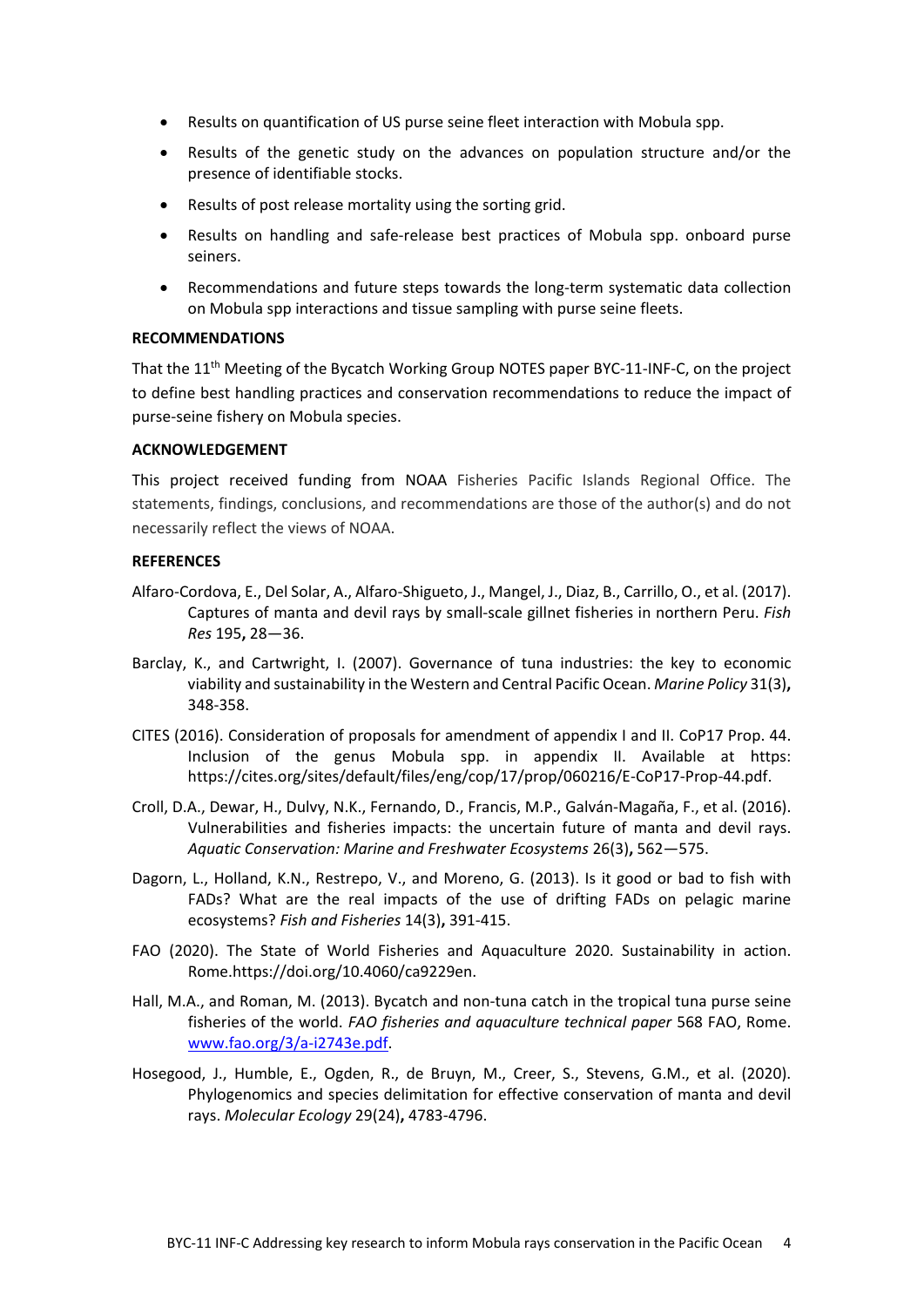- Results on quantification of US purse seine fleet interaction with Mobula spp.
- Results of the genetic study on the advances on population structure and/or the presence of identifiable stocks.
- Results of post release mortality using the sorting grid.
- Results on handling and safe-release best practices of Mobula spp. onboard purse seiners.
- Recommendations and future steps towards the long-term systematic data collection on Mobula spp interactions and tissue sampling with purse seine fleets.

#### **RECOMMENDATIONS**

That the 11<sup>th</sup> Meeting of the Bycatch Working Group NOTES paper BYC-11-INF-C, on the project to define best handling practices and conservation recommendations to reduce the impact of purse-seine fishery on Mobula species.

#### **ACKNOWLEDGEMENT**

This project received funding from NOAA Fisheries Pacific Islands Regional Office. The statements, findings, conclusions, and recommendations are those of the author(s) and do not necessarily reflect the views of NOAA.

#### **REFERENCES**

- <span id="page-3-1"></span>Alfaro-Cordova, E., Del Solar, A., Alfaro-Shigueto, J., Mangel, J., Diaz, B., Carrillo, O., et al. (2017). Captures of manta and devil rays by small-scale gillnet fisheries in northern Peru. *Fish Res* 195**,** 28—36.
- Barclay, K., and Cartwright, I. (2007). Governance of tuna industries: the key to economic viability and sustainability in the Western and Central Pacific Ocean. *Marine Policy* 31(3)**,** 348-358.
- CITES (2016). Consideration of proposals for amendment of appendix I and II. CoP17 Prop. 44. Inclusion of the genus Mobula spp. in appendix II. Available at https: https://cites.org/sites/default/files/eng/cop/17/prop/060216/E-CoP17-Prop-44.pdf.
- <span id="page-3-0"></span>Croll, D.A., Dewar, H., Dulvy, N.K., Fernando, D., Francis, M.P., Galván-Magaña, F., et al. (2016). Vulnerabilities and fisheries impacts: the uncertain future of manta and devil rays. *Aquatic Conservation: Marine and Freshwater Ecosystems* 26(3)**,** 562—575.
- Dagorn, L., Holland, K.N., Restrepo, V., and Moreno, G. (2013). Is it good or bad to fish with FADs? What are the real impacts of the use of drifting FADs on pelagic marine ecosystems? *Fish and Fisheries* 14(3)**,** 391-415.
- FAO (2020). The State of World Fisheries and Aquaculture 2020. Sustainability in action. Rome.https://doi.org/10.4060/ca9229en.
- Hall, M.A., and Roman, M. (2013). Bycatch and non-tuna catch in the tropical tuna purse seine fisheries of the world. *FAO fisheries and aquaculture technical paper* 568 FAO, Rome. [www.fao.org/3/a-i2743e.pdf.](http://www.fao.org/3/a-i2743e.pdf)
- <span id="page-3-2"></span>Hosegood, J., Humble, E., Ogden, R., de Bruyn, M., Creer, S., Stevens, G.M., et al. (2020). Phylogenomics and species delimitation for effective conservation of manta and devil rays. *Molecular Ecology* 29(24)**,** 4783-4796.